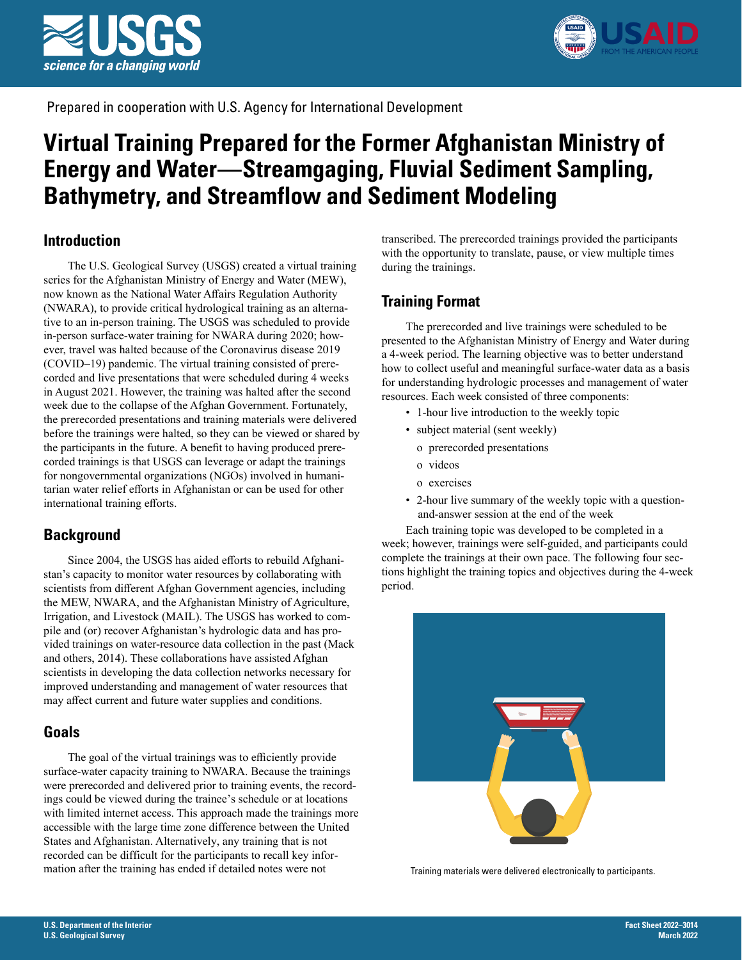



Prepared in cooperation with U.S. Agency for International Development

# **Virtual Training Prepared for the Former Afghanistan Ministry of Energy and Water—Streamgaging, Fluvial Sediment Sampling, Bathymetry, and Streamflow and Sediment Modeling**

## **Introduction**

The U.S. Geological Survey (USGS) created a virtual training series for the Afghanistan Ministry of Energy and Water (MEW), now known as the National Water Affairs Regulation Authority (NWARA), to provide critical hydrological training as an alternative to an in-person training. The USGS was scheduled to provide in-person surface-water training for NWARA during 2020; however, travel was halted because of the Coronavirus disease 2019 (COVID–19) pandemic. The virtual training consisted of prerecorded and live presentations that were scheduled during 4 weeks in August 2021. However, the training was halted after the second week due to the collapse of the Afghan Government. Fortunately, the prerecorded presentations and training materials were delivered before the trainings were halted, so they can be viewed or shared by the participants in the future. A benefit to having produced prerecorded trainings is that USGS can leverage or adapt the trainings for nongovernmental organizations (NGOs) involved in humanitarian water relief efforts in Afghanistan or can be used for other international training efforts.

# **Background**

Since 2004, the USGS has aided efforts to rebuild Afghanistan's capacity to monitor water resources by collaborating with scientists from different Afghan Government agencies, including the MEW, NWARA, and the Afghanistan Ministry of Agriculture, Irrigation, and Livestock (MAIL). The USGS has worked to compile and (or) recover Afghanistan's hydrologic data and has provided trainings on water-resource data collection in the past (Mack and others, 2014). These collaborations have assisted Afghan scientists in developing the data collection networks necessary for improved understanding and management of water resources that may affect current and future water supplies and conditions.

## **Goals**

The goal of the virtual trainings was to efficiently provide surface-water capacity training to NWARA. Because the trainings were prerecorded and delivered prior to training events, the recordings could be viewed during the trainee's schedule or at locations with limited internet access. This approach made the trainings more accessible with the large time zone difference between the United States and Afghanistan. Alternatively, any training that is not recorded can be difficult for the participants to recall key information after the training has ended if detailed notes were not

transcribed. The prerecorded trainings provided the participants with the opportunity to translate, pause, or view multiple times during the trainings.

# **Training Format**

The prerecorded and live trainings were scheduled to be presented to the Afghanistan Ministry of Energy and Water during a 4-week period. The learning objective was to better understand how to collect useful and meaningful surface-water data as a basis for understanding hydrologic processes and management of water resources. Each week consisted of three components:

- 1-hour live introduction to the weekly topic
- subject material (sent weekly)
	- o prerecorded presentations
	- o videos
	- o exercises
- 2-hour live summary of the weekly topic with a questionand-answer session at the end of the week

Each training topic was developed to be completed in a week; however, trainings were self-guided, and participants could complete the trainings at their own pace. The following four sections highlight the training topics and objectives during the 4-week period.



Training materials were delivered electronically to participants.